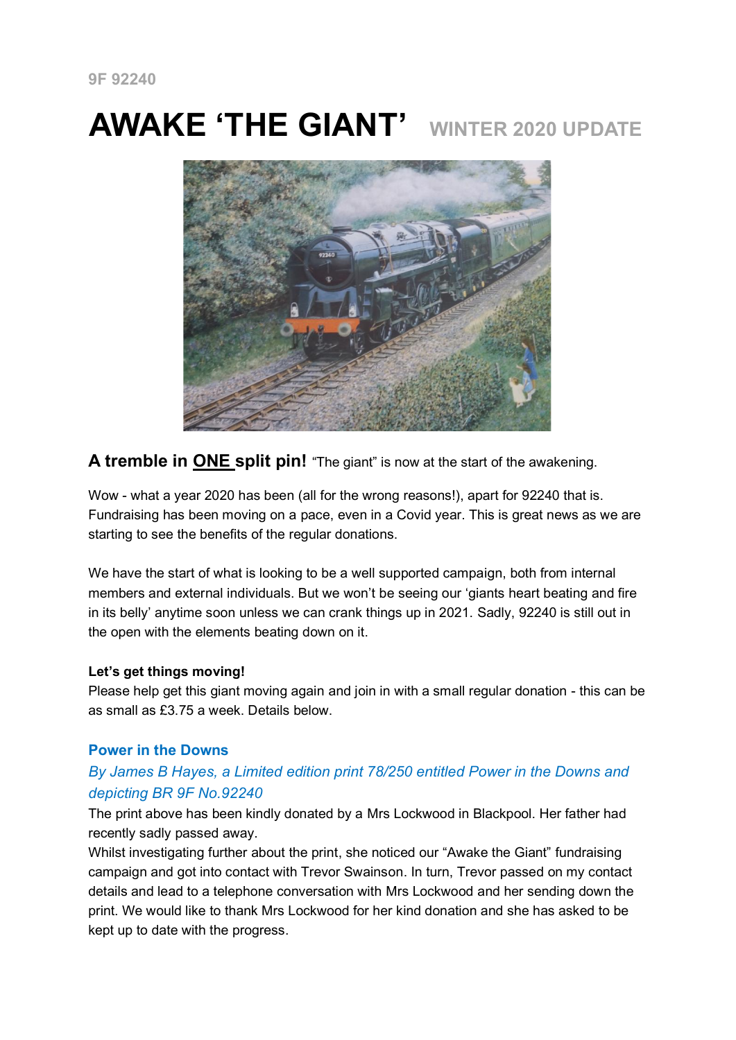# **AWAKE 'THE GIANT' WINTER 2020 UPDATE**



# **A tremble in ONE split pin!** "The giant" is now at the start of the awakening.

Wow - what a year 2020 has been (all for the wrong reasons!), apart for 92240 that is. Fundraising has been moving on a pace, even in a Covid year. This is great news as we are starting to see the benefits of the regular donations.

We have the start of what is looking to be a well supported campaign, both from internal members and external individuals. But we won't be seeing our 'giants heart beating and fire in its belly' anytime soon unless we can crank things up in 2021. Sadly, 92240 is still out in the open with the elements beating down on it.

#### **Let's get things moving!**

Please help get this giant moving again and join in with a small regular donation - this can be as small as £3.75 a week. Details below.

#### **Power in the Downs**

# *By James B Hayes, a Limited edition print 78/250 entitled Power in the Downs and depicting BR 9F No.92240*

The print above has been kindly donated by a Mrs Lockwood in Blackpool. Her father had recently sadly passed away.

Whilst investigating further about the print, she noticed our "Awake the Giant" fundraising campaign and got into contact with Trevor Swainson. In turn, Trevor passed on my contact details and lead to a telephone conversation with Mrs Lockwood and her sending down the print. We would like to thank Mrs Lockwood for her kind donation and she has asked to be kept up to date with the progress.